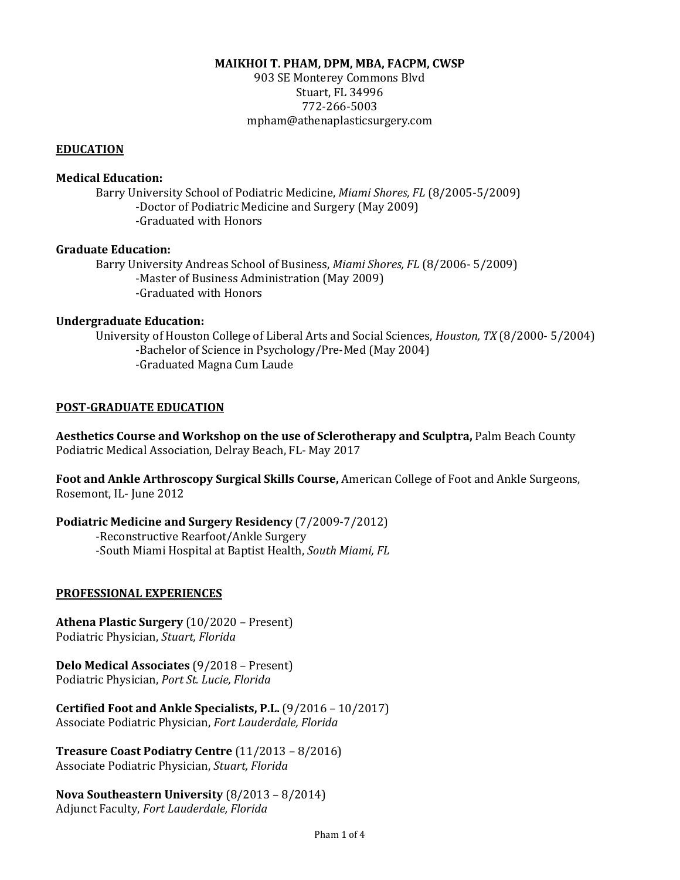#### **MAIKHOI T. PHAM, DPM, MBA, FACPM, CWSP**

903 SE Monterey Commons Blvd Stuart, FL 34996 772-266-5003 [mpham@athenaplasticsurgery.com](mailto:maikhoi.pham@gmail.com)

#### **EDUCATION**

### **Medical Education:**

Barry University School of Podiatric Medicine, *Miami Shores, FL* (8/2005-5/2009) -Doctor of Podiatric Medicine and Surgery (May 2009) -Graduated with Honors

### **Graduate Education:**

Barry University Andreas School of Business, *Miami Shores, FL* (8/2006- 5/2009) -Master of Business Administration (May 2009) -Graduated with Honors

#### **Undergraduate Education:**

University of Houston College of Liberal Arts and Social Sciences, *Houston, TX* (8/2000- 5/2004) -Bachelor of Science in Psychology/Pre-Med (May 2004) -Graduated Magna Cum Laude

#### **POST-GRADUATE EDUCATION**

**Aesthetics Course and Workshop on the use of Sclerotherapy and Sculptra,** Palm Beach County Podiatric Medical Association, Delray Beach, FL- May 2017

**Foot and Ankle Arthroscopy Surgical Skills Course,** American College of Foot and Ankle Surgeons, Rosemont, IL- June 2012

### **Podiatric Medicine and Surgery Residency** (7/2009-7/2012)

-Reconstructive Rearfoot/Ankle Surgery -South Miami Hospital at Baptist Health, *South Miami, FL*

### **PROFESSIONAL EXPERIENCES**

**Athena Plastic Surgery** (10/2020 – Present) Podiatric Physician, *Stuart, Florida*

**Delo Medical Associates** (9/2018 – Present) Podiatric Physician, *Port St. Lucie, Florida*

**Certified Foot and Ankle Specialists, P.L.** (9/2016 – 10/2017) Associate Podiatric Physician, *Fort Lauderdale, Florida*

**Treasure Coast Podiatry Centre** (11/2013 – 8/2016) Associate Podiatric Physician, *Stuart, Florida*

**Nova Southeastern University** (8/2013 – 8/2014) Adjunct Faculty, *Fort Lauderdale, Florida*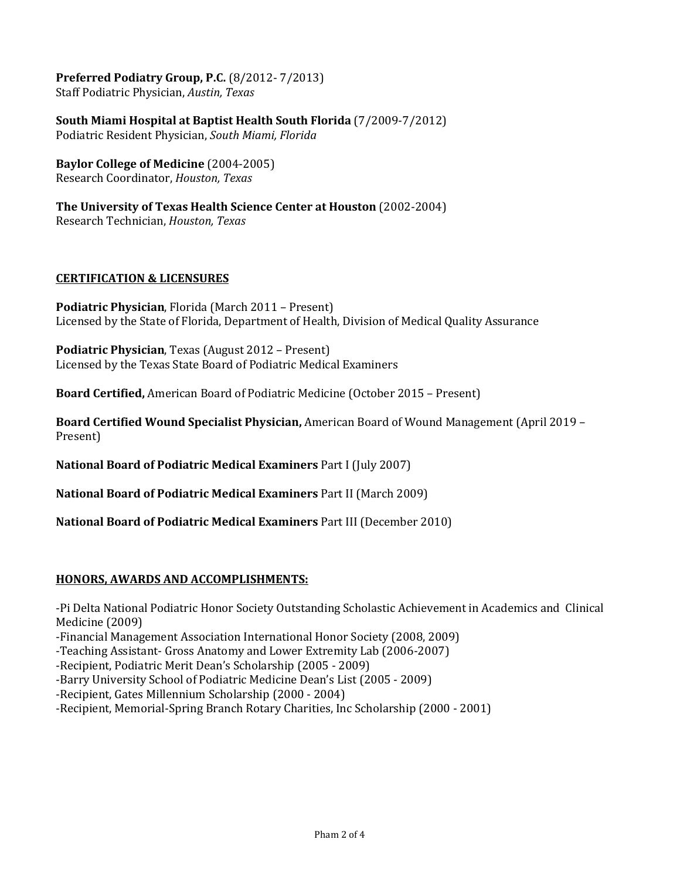**Preferred Podiatry Group, P.C.** (8/2012- 7/2013) Staff Podiatric Physician, *Austin, Texas* 

**South Miami Hospital at Baptist Health South Florida** (7/2009-7/2012) Podiatric Resident Physician, *South Miami, Florida*

**Baylor College of Medicine** (2004-2005) Research Coordinator, *Houston, Texas*

**The University of Texas Health Science Center at Houston** (2002-2004) Research Technician, *Houston, Texas*

# **CERTIFICATION & LICENSURES**

**Podiatric Physician**, Florida (March 2011 – Present) Licensed by the State of Florida, Department of Health, Division of Medical Quality Assurance

**Podiatric Physician**, Texas (August 2012 – Present) Licensed by the Texas State Board of Podiatric Medical Examiners

**Board Certified,** American Board of Podiatric Medicine (October 2015 – Present)

**Board Certified Wound Specialist Physician,** American Board of Wound Management (April 2019 – Present)

**National Board of Podiatric Medical Examiners** Part I (July 2007)

**National Board of Podiatric Medical Examiners** Part II (March 2009)

**National Board of Podiatric Medical Examiners** Part III (December 2010)

### **HONORS, AWARDS AND ACCOMPLISHMENTS:**

-Pi Delta National Podiatric Honor Society Outstanding Scholastic Achievement in Academics and Clinical Medicine (2009)

-Financial Management Association International Honor Society (2008, 2009)

-Teaching Assistant- Gross Anatomy and Lower Extremity Lab (2006-2007)

-Recipient, Podiatric Merit Dean's Scholarship (2005 - 2009)

-Barry University School of Podiatric Medicine Dean's List (2005 - 2009)

-Recipient, Gates Millennium Scholarship (2000 - 2004)

-Recipient, Memorial-Spring Branch Rotary Charities, Inc Scholarship (2000 - 2001)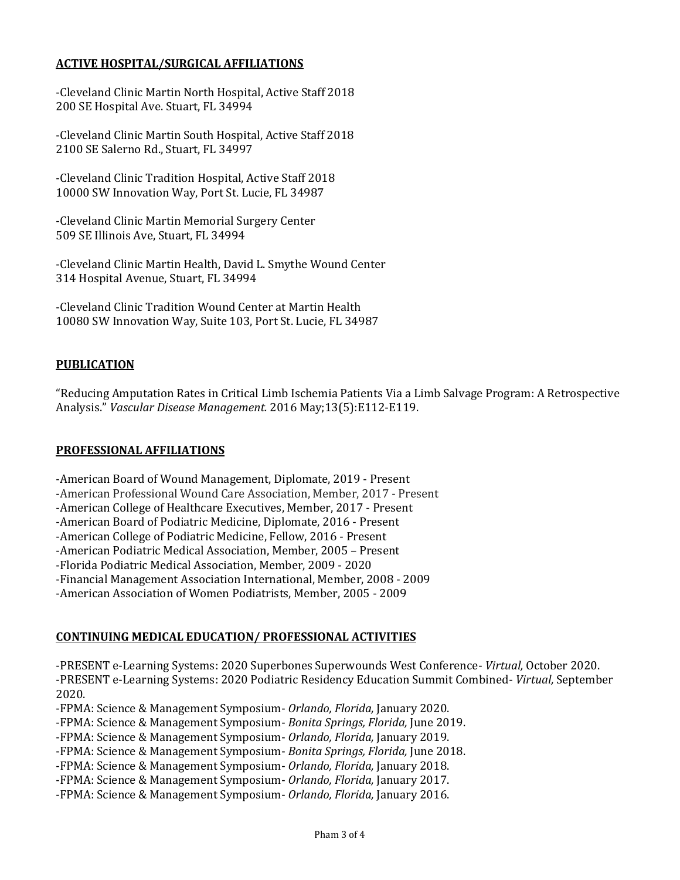# **ACTIVE HOSPITAL/SURGICAL AFFILIATIONS**

-Cleveland Clinic Martin North Hospital, Active Staff 2018 200 SE Hospital Ave. Stuart, FL 34994

-Cleveland Clinic Martin South Hospital, Active Staff 2018 2100 SE Salerno Rd., Stuart, FL 34997

-Cleveland Clinic Tradition Hospital, Active Staff 2018 10000 SW Innovation Way, Port St. Lucie, FL 34987

-Cleveland Clinic Martin Memorial Surgery Center 509 SE Illinois Ave, Stuart, FL 34994

-Cleveland Clinic Martin Health, David L. Smythe Wound Center 314 Hospital Avenue, Stuart, FL 34994

-Cleveland Clinic Tradition Wound Center at Martin Health 10080 SW Innovation Way, Suite 103, Port St. Lucie, FL 34987

## **PUBLICATION**

"Reducing Amputation Rates in Critical Limb Ischemia Patients Via a Limb Salvage Program: A Retrospective Analysis." *Vascular Disease Management.* 2016 May;13(5):E112-E119.

### **PROFESSIONAL AFFILIATIONS**

-American Board of Wound Management, Diplomate, 2019 - Present -American Professional Wound Care Association, Member, 2017 - Present -American College of Healthcare Executives, Member, 2017 - Present -American Board of Podiatric Medicine, Diplomate, 2016 - Present -American College of Podiatric Medicine, Fellow, 2016 - Present -American Podiatric Medical Association, Member, 2005 – Present -Florida Podiatric Medical Association, Member, 2009 - 2020 -Financial Management Association International, Member, 2008 - 2009 -American Association of Women Podiatrists, Member, 2005 - 2009

### **CONTINUING MEDICAL EDUCATION/ PROFESSIONAL ACTIVITIES**

-PRESENT e-Learning Systems: 2020 Superbones Superwounds West Conference- *Virtual,* October 2020. -PRESENT e-Learning Systems: 2020 Podiatric Residency Education Summit Combined- *Virtual,* September 2020.

-FPMA: Science & Management Symposium- *Orlando, Florida,* January 2020.

-FPMA: Science & Management Symposium- *Bonita Springs, Florida,* June 2019.

-FPMA: Science & Management Symposium- *Orlando, Florida,* January 2019.

-FPMA: Science & Management Symposium- *Bonita Springs, Florida,* June 2018.

-FPMA: Science & Management Symposium- *Orlando, Florida,* January 2018.

-FPMA: Science & Management Symposium- *Orlando, Florida,* January 2017.

-FPMA: Science & Management Symposium- *Orlando, Florida,* January 2016.